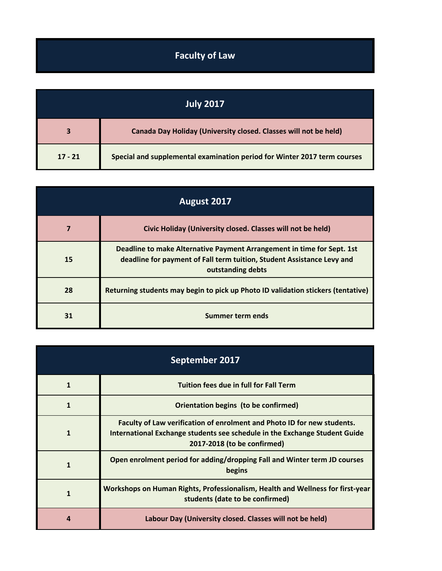## **Faculty of Law**

| July 2017 |                                                                          |
|-----------|--------------------------------------------------------------------------|
|           | Canada Day Holiday (University closed. Classes will not be held)         |
| $17 - 21$ | Special and supplemental examination period for Winter 2017 term courses |

| August 2017 |                                                                                                                                                                       |
|-------------|-----------------------------------------------------------------------------------------------------------------------------------------------------------------------|
|             | Civic Holiday (University closed. Classes will not be held)                                                                                                           |
| 15          | Deadline to make Alternative Payment Arrangement in time for Sept. 1st<br>deadline for payment of Fall term tuition, Student Assistance Levy and<br>outstanding debts |
| 28          | Returning students may begin to pick up Photo ID validation stickers (tentative)                                                                                      |
| 31          | Summer term ends                                                                                                                                                      |

| September 2017 |                                                                                                                                                                                      |
|----------------|--------------------------------------------------------------------------------------------------------------------------------------------------------------------------------------|
| 1              | <b>Tuition fees due in full for Fall Term</b>                                                                                                                                        |
| 1              | Orientation begins (to be confirmed)                                                                                                                                                 |
| 1              | Faculty of Law verification of enrolment and Photo ID for new students.<br>International Exchange students see schedule in the Exchange Student Guide<br>2017-2018 (to be confirmed) |
| 1              | Open enrolment period for adding/dropping Fall and Winter term JD courses<br>begins                                                                                                  |
| 1              | Workshops on Human Rights, Professionalism, Health and Wellness for first-year<br>students (date to be confirmed)                                                                    |
| 4              | Labour Day (University closed. Classes will not be held)                                                                                                                             |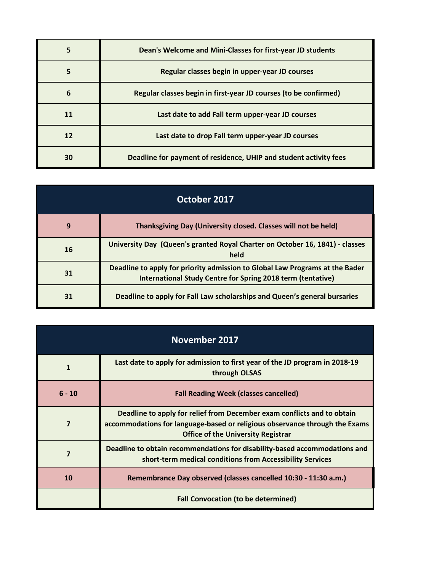| 5  | Dean's Welcome and Mini-Classes for first-year JD students        |
|----|-------------------------------------------------------------------|
|    | Regular classes begin in upper-year JD courses                    |
| 6  | Regular classes begin in first-year JD courses (to be confirmed)  |
| 11 | Last date to add Fall term upper-year JD courses                  |
| 12 | Last date to drop Fall term upper-year JD courses                 |
| 30 | Deadline for payment of residence, UHIP and student activity fees |

| October 2017 |                                                                                                                                             |
|--------------|---------------------------------------------------------------------------------------------------------------------------------------------|
| 9            | Thanksgiving Day (University closed. Classes will not be held)                                                                              |
| 16           | University Day (Queen's granted Royal Charter on October 16, 1841) - classes<br>held                                                        |
| 31           | Deadline to apply for priority admission to Global Law Programs at the Bader<br>International Study Centre for Spring 2018 term (tentative) |
| 31           | Deadline to apply for Fall Law scholarships and Queen's general bursaries                                                                   |

| November 2017 |                                                                                                                                                                                                     |
|---------------|-----------------------------------------------------------------------------------------------------------------------------------------------------------------------------------------------------|
| 1             | Last date to apply for admission to first year of the JD program in 2018-19<br>through OLSAS                                                                                                        |
| $6 - 10$      | <b>Fall Reading Week (classes cancelled)</b>                                                                                                                                                        |
| 7             | Deadline to apply for relief from December exam conflicts and to obtain<br>accommodations for language-based or religious observance through the Exams<br><b>Office of the University Registrar</b> |
| 7             | Deadline to obtain recommendations for disability-based accommodations and<br>short-term medical conditions from Accessibility Services                                                             |
| 10            | Remembrance Day observed (classes cancelled 10:30 - 11:30 a.m.)                                                                                                                                     |
|               | <b>Fall Convocation (to be determined)</b>                                                                                                                                                          |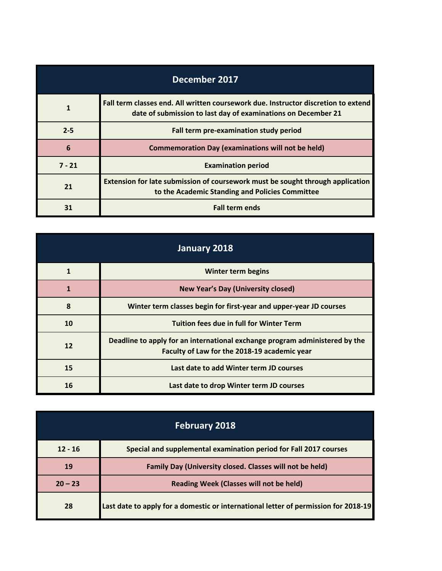| December 2017 |                                                                                                                                                     |
|---------------|-----------------------------------------------------------------------------------------------------------------------------------------------------|
| 1             | Fall term classes end. All written coursework due. Instructor discretion to extend<br>date of submission to last day of examinations on December 21 |
| $2 - 5$       | Fall term pre-examination study period                                                                                                              |
| 6             | <b>Commemoration Day (examinations will not be held)</b>                                                                                            |
| $7 - 21$      | <b>Examination period</b>                                                                                                                           |
| 21            | Extension for late submission of coursework must be sought through application<br>to the Academic Standing and Policies Committee                   |
| 31            | <b>Fall term ends</b>                                                                                                                               |

| January 2018 |                                                                                                                             |
|--------------|-----------------------------------------------------------------------------------------------------------------------------|
|              | Winter term begins                                                                                                          |
| 1            | <b>New Year's Day (University closed)</b>                                                                                   |
| 8            | Winter term classes begin for first-year and upper-year JD courses                                                          |
| 10           | <b>Tuition fees due in full for Winter Term</b>                                                                             |
| 12           | Deadline to apply for an international exchange program administered by the<br>Faculty of Law for the 2018-19 academic year |
| 15           | Last date to add Winter term JD courses                                                                                     |
| 16           | Last date to drop Winter term JD courses                                                                                    |

| <b>February 2018</b> |                                                                                     |
|----------------------|-------------------------------------------------------------------------------------|
| $12 - 16$            | Special and supplemental examination period for Fall 2017 courses                   |
| 19                   | Family Day (University closed. Classes will not be held)                            |
| $20 - 23$            | <b>Reading Week (Classes will not be held)</b>                                      |
| 28                   | Last date to apply for a domestic or international letter of permission for 2018-19 |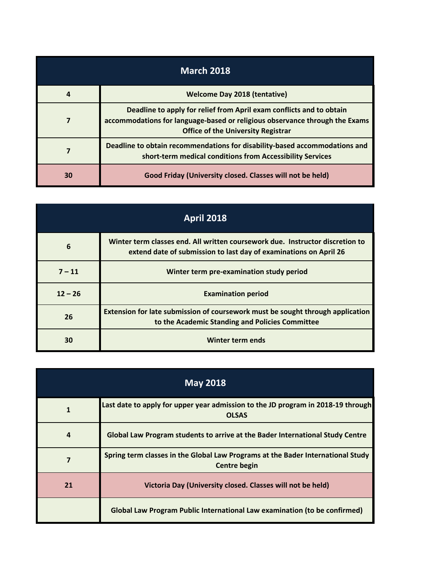| <b>March 2018</b> |                                                                                                                                                                                                  |
|-------------------|--------------------------------------------------------------------------------------------------------------------------------------------------------------------------------------------------|
| 4                 | <b>Welcome Day 2018 (tentative)</b>                                                                                                                                                              |
|                   | Deadline to apply for relief from April exam conflicts and to obtain<br>accommodations for language-based or religious observance through the Exams<br><b>Office of the University Registrar</b> |
|                   | Deadline to obtain recommendations for disability-based accommodations and<br>short-term medical conditions from Accessibility Services                                                          |
| 30                | Good Friday (University closed. Classes will not be held)                                                                                                                                        |

| <b>April 2018</b> |                                                                                                                                                    |
|-------------------|----------------------------------------------------------------------------------------------------------------------------------------------------|
| 6                 | Winter term classes end. All written coursework due. Instructor discretion to<br>extend date of submission to last day of examinations on April 26 |
| $7 - 11$          | Winter term pre-examination study period                                                                                                           |
| $12 - 26$         | <b>Examination period</b>                                                                                                                          |
| 26                | Extension for late submission of coursework must be sought through application<br>to the Academic Standing and Policies Committee                  |
| 30                | Winter term ends                                                                                                                                   |

| <b>May 2018</b> |                                                                                                        |
|-----------------|--------------------------------------------------------------------------------------------------------|
| $\mathbf{1}$    | Last date to apply for upper year admission to the JD program in 2018-19 through<br><b>OLSAS</b>       |
| 4               | Global Law Program students to arrive at the Bader International Study Centre                          |
|                 | Spring term classes in the Global Law Programs at the Bader International Study<br><b>Centre begin</b> |
| 21              | Victoria Day (University closed. Classes will not be held)                                             |
|                 | Global Law Program Public International Law examination (to be confirmed)                              |